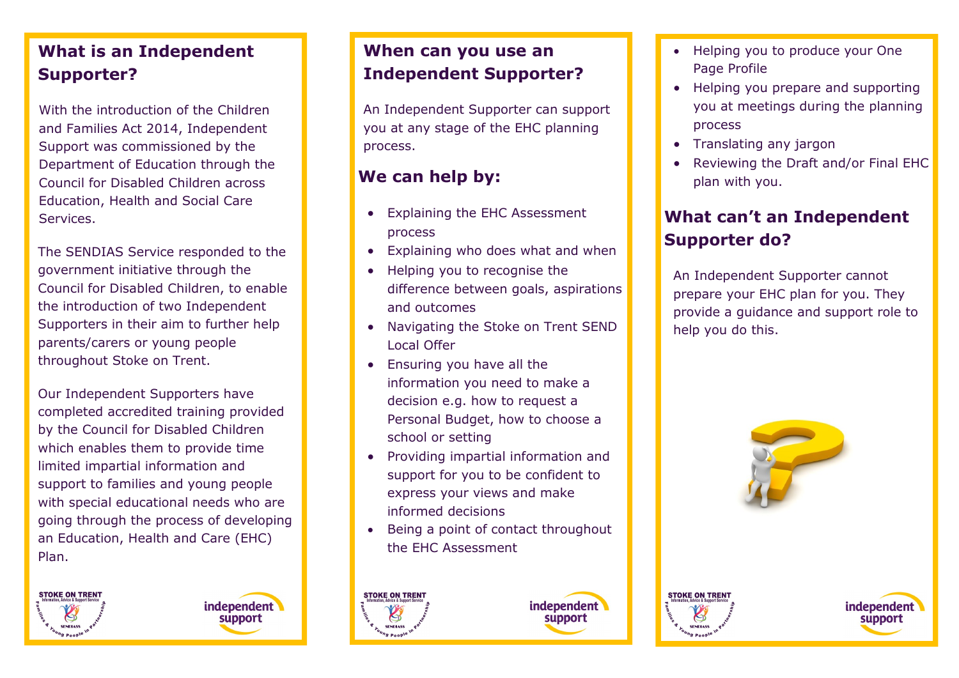## **What is an Independent Supporter?**

With the introduction of the Children and Families Act 2014, Independent Support was commissioned by the Department of Education through the Council for Disabled Children across Education, Health and Social Care Services.

The SENDIAS Service responded to the government initiative through the Council for Disabled Children, to enable the introduction of two Independent Supporters in their aim to further help parents/carers or young people throughout Stoke on Trent.

Our Independent Supporters have completed accredited training provided by the Council for Disabled Children which enables them to provide time limited impartial information and support to families and young people with special educational needs who are going through the process of developing an Education, Health and Care (EHC) Plan.

**STOKE ON TREN** 



## **When can you use an Independent Supporter?**

An Independent Supporter can support you at any stage of the EHC planning process.

## **We can help by:**

- Explaining the EHC Assessment process
- Explaining who does what and when
- Helping you to recognise the difference between goals, aspirations and outcomes
- Navigating the Stoke on Trent SEND Local Offer
- Ensuring you have all the information you need to make a decision e.g. how to request a Personal Budget, how to choose a school or setting
- Providing impartial information and support for you to be confident to express your views and make informed decisions
- Being a point of contact throughout the EHC Assessment





- Helping you to produce your One Page Profile
- Helping you prepare and supporting you at meetings during the planning process
- Translating any jargon
- Reviewing the Draft and/or Final EHC plan with you.

## **What can't an Independent Supporter do?**

An Independent Supporter cannot prepare your EHC plan for you. They provide a guidance and support role to help you do this.